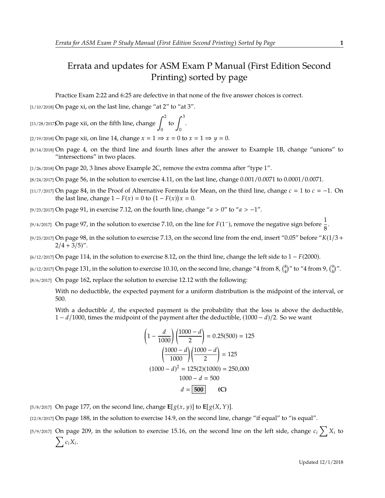## Errata and updates for ASM Exam P Manual (First Edition Second Printing) sorted by page

Practice Exam 2:22 and 6:25 are defective in that none of the five answer choices is correct.

[1/10/2018] On page xi, on the last line, change "at 2" to "at 3".

[11/28/2017]On page xii, on the fifth line, change  $\int^2$  $\boldsymbol{0}$ to  $\int^3$  $\boldsymbol{0}$ .

[2/19/2018] On page xii, on line 14, change  $x = 1 \Rightarrow x = 0$  to  $x = 1 \Rightarrow y = 0$ .

- [8/14/2018] On page 4, on the third line and fourth lines after the answer to Example 1B, change "unions" to "intersections" in two places.
- [1/26/2018] On page 20, 3 lines above Example 2C, remove the extra comma after "type 1".
- [8/24/2017] On page 56, in the solution to exercise 4.11, on the last line, change 0.001/0.0071 to 0.0001/0.0071.
- [11/7/2017] On page 84, in the Proof of Alternative Formula for Mean, on the third line, change  $c = 1$  to  $c = -1$ . On the last line, change  $1 - F(x) = 0$  to  $(1 - F(x))x = 0$ .

[9/23/2017] On page 91, in exercise 7.12, on the fourth line, change "*a* > 0" to "*a* > −1".

- [9/4/2017] On page 97, in the solution to exercise 7.10, on the line for  $F(1^-)$ , remove the negative sign before  $\frac{1}{8}$ .
- [9/23/2017] On page 98, in the solution to exercise 7.13, on the second line from the end, insert "0.05" before "*K*(1/3 +  $2/4 + 3/5$ ".
- [6/12/2017] On page 114, in the solution to exercise 8.12, on the third line, change the left side to 1 − *F*(2000).
- [6/12/2017] On page 131, in the solution to exercise 10.10, on the second line, change "4 from 8,  $\binom{8}{4}$ " to "4 from 9,  $\binom{9}{4}$ ".
- [8/6/2017] On page 162, replace the solution to exercise 12.12 with the following:

With no deductible, the expected payment for a uniform distribution is the midpoint of the interval, or 500.

With a deductible *d*, the expected payment is the probability that the loss is above the deductible, 1 − *d*/1000, times the midpoint of the payment after the deductible, (1000 − *d*)/2. So we want

$$
\left(1 - \frac{d}{1000}\right)\left(\frac{1000 - d}{2}\right) = 0.25(500) = 125
$$

$$
\left(\frac{1000 - d}{1000}\right)\left(\frac{1000 - d}{2}\right) = 125
$$

$$
(1000 - d)^2 = 125(2)(1000) = 250,000
$$

$$
1000 - d = 500
$$

$$
d = 500
$$
 (C)

[5/8/2017] On page 177, on the second line, change  $\mathbf{E}[g(x, y)]$  to  $\mathbf{E}[g(X, Y)]$ .

[12/8/2017] On page 188, in the solution to exercise 14.9, on the second line, change "if equal" to "is equal".

[5/9/2017] On page 209, in the solution to exercise 15.16, on the second line on the left side, change  $c_i\sum_i X_i$  to  $\sum c_i X_i$ .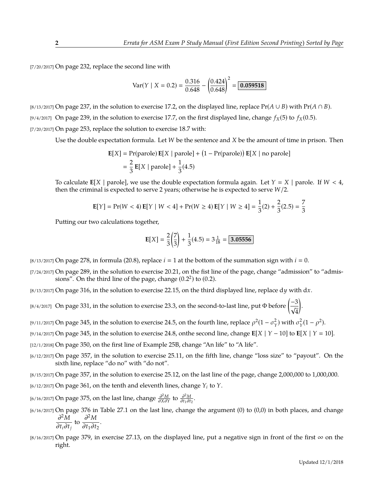[7/20/2017] On page 232, replace the second line with

Var(Y | X = 0.2) = 
$$
\frac{0.316}{0.648} - \left(\frac{0.424}{0.648}\right)^2 = \boxed{0.059518}
$$

[8/13/2017] On page 237, in the solution to exercise 17.2, on the displayed line, replace  $Pr(A \cup B)$  with  $Pr(A \cap B)$ . [9/4/2017] On page 239, in the solution to exercise 17.7, on the first displayed line, change  $f_X(5)$  to  $f_X(0.5)$ . [7/20/2017] On page 253, replace the solution to exercise 18.7 with:

Use the double expectation formula. Let *W* be the sentence and *X* be the amount of time in prison. Then

$$
\mathbf{E}[X] = \text{Pr}(\text{parole}) \mathbf{E}[X \mid \text{parole}] + (1 - \text{Pr}(\text{parole})) \mathbf{E}[X \mid \text{no parole}]
$$

$$
= \frac{2}{3} \mathbf{E}[X \mid \text{parole}] + \frac{1}{3}(4.5)
$$

To calculate  $E[X | \text{parole}]$ , we use the double expectation formula again. Let  $Y = X | \text{parole}$ . If  $W < 4$ , then the criminal is expected to serve 2 years; otherwise he is expected to serve *W*/2.

$$
\mathbf{E}[Y] = \Pr(W < 4) \mathbf{E}[Y \mid W < 4] + \Pr(W \ge 4) \mathbf{E}[Y \mid W \ge 4] = \frac{1}{3}(2) + \frac{2}{3}(2.5) = \frac{7}{3}
$$

Putting our two calculations together,

$$
E[X] = \frac{2}{3} \left( \frac{7}{3} \right) + \frac{1}{3} (4.5) = 3 \frac{1}{18} = \boxed{3.05556}
$$

 $[8/13/2017]$  On page 278, in formula (20.8), replace  $i = 1$  at the bottom of the summation sign with  $i = 0$ .

[7/24/2017] On page 289, in the solution to exercise 20.21, on the fist line of the page, change "admission" to "admissions". On the third line of the page, change  $(0.2<sup>2</sup>)$  to  $(0.2)$ .

[8/13/2017] On page 316, in the solution to exercise 22.15, on the third displayed line, replace d*y* with d*x*.

[8/4/2017] On page 331, in the solution to exercise 23.3, on the second-to-last line, put Φ before  $\left(\frac{-3}{\epsilon_0}\right)$ 4 .

<sup>[9/11/2017] On page 345, in the solution to exercise 24.5, on the fourth line, replace  $\rho^2(1-\sigma_Y^2)$  with  $\sigma_Y^2(1-\rho^2)$ .</sup>

[9/14/2017] On page 345, in the solution to exercise 24.8, onthe second line, change **E**[*X* | *Y* − 10] to **E**[*X* | *Y* 10].

[12/1/2018] On page 350, on the first line of Example 25B, change "An life" to "A life".

[6/12/2017] On page 357, in the solution to exercise 25.11, on the fifth line, change "loss size" to "payout". On the sixth line, replace "do no" with "do not".

[8/15/2017] On page 357, in the solution to exercise 25.12, on the last line of the page, change 2,000,000 to 1,000,000.

[6/12/2017] On page 361, on the tenth and eleventh lines, change *Y<sup>i</sup>* to *Y*.

*(*<sup>6/16/2017) On page 375, on the last line, change  $\frac{\partial^2 M}{\partial X \partial Y}$  to  $\frac{\partial^2 M}{\partial t_1 \partial t}$ </sup>  $\frac{\partial^2 M}{\partial t_1 \partial t_2}$ .

- [6/16/2017] On page 376 in Table 27.1 on the last line, change the argument (0) to (0,0) in both places, and change ∂ <sup>2</sup>*M*  $\frac{\partial^2 M}{\partial t_i \partial t_j}$  to  $\frac{\partial^2 M}{\partial t_1 \partial t}$  $\frac{\partial H_1}{\partial t_1 \partial t_2}$ .
- [8/16/2017] On page 379, in exercise 27.13, on the displayed line, put a negative sign in front of the first  $\infty$  on the right.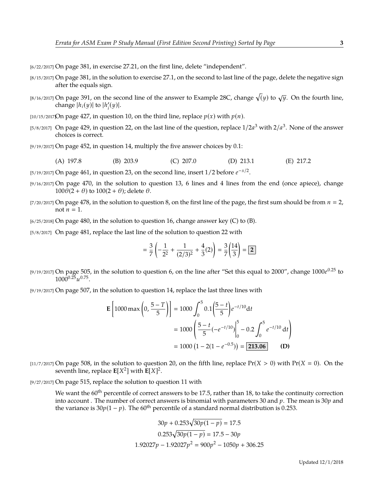[6/22/2017] On page 381, in exercise 27.21, on the first line, delete "independent".

- [8/15/2017] On page 381, in the solution to exercise 27.1, on the second to last line of the page, delete the negative sign after the equals sign.
- $_{[8/16/2017]}$  On page 391, on the second line of the answer to Example 28C, change  $\sqrt(y)$  to  $\sqrt{y}.$  On the fourth line, change  $|h_i(y)|$  to  $|h'_i$  $\binom{r}{i}(y)$ .
- [10/15/2017]On page 427, in question 10, on the third line, replace  $p(x)$  with  $p(n)$ .
- [5/8/2017] On page 429, in question 22, on the last line of the question, replace  $1/2a^3$  with  $2/a^3$ . None of the answer choices is correct.
- [9/19/2017] On page 452, in question 14, multiply the five answer choices by 0.1:
	- (A) 197.8 (B) 203.9 (C) 207.0 (D) 213.1 (E) 217.2
- [5/19/2017] On page 461, in question 23, on the second line, insert 1/2 before  $e^{-x/2}$ .
- [9/16/2017] On page 470, in the solution to question 13, 6 lines and 4 lines from the end (once apiece), change  $100\theta(2 + \theta)$  to  $100(2 + \theta)$ ; delete  $\theta$ .
- $[7/20/2017]$  On page 478, in the solution to question 8, on the first line of the page, the first sum should be from  $n = 2$ , not  $n = 1$ .

 $[6/25/2018]$  On page 480, in the solution to question 16, change answer key (C) to (B).

[5/8/2017] On page 481, replace the last line of the solution to question 22 with

$$
= \frac{3}{7}\left(-\frac{1}{2^2} + \frac{1}{(2/3)^2} + \frac{4}{3}(2)\right) = \frac{3}{7}\left(\frac{14}{3}\right) = \boxed{2}
$$

[9/19/2017] On page 505, in the solution to question 6, on the line after "Set this equal to 2000", change 1000*e* <sup>0</sup>.<sup>25</sup> to  $1000^{0.25}u^{0.75}$ .

[9/19/2017] On page 507, in the solution to question 14, replace the last three lines with

$$
\mathbf{E}\left[1000\max\left(0, \frac{5-T}{5}\right)\right] = 1000 \int_0^5 0.1\left(\frac{5-t}{5}\right) e^{-t/10} dt
$$

$$
= 1000 \left(\frac{5-t}{5}(-e^{-t/10})\Big|_0^5 - 0.2 \int_0^5 e^{-t/10} dt\right)
$$

$$
= 1000 \left(1 - 2(1 - e^{-0.5})\right) = 213.06 \tag{D}
$$

 $\left[11/7/2017\right]$  On page 508, in the solution to question 20, on the fifth line, replace  $Pr(X > 0)$  with  $Pr(X = 0)$ . On the seventh line, replace  $E[X^2]$  with  $E[X]^2$ .

[9/27/2017] On page 515, replace the solution to question 11 with

We want the  $60^{th}$  percentile of correct answers to be 17.5, rather than 18, to take the continuity correction into account . The number of correct answers is binomial with parameters 30 and *p*. The mean is 30*p* and the variance is  $30p(1 - p)$ . The 60<sup>th</sup> percentile of a standard normal distribution is 0.253.

$$
30p + 0.253\sqrt{30p(1-p)} = 17.5
$$

$$
0.253\sqrt{30p(1-p)} = 17.5 - 30p
$$

$$
1.92027p - 1.92027p2 = 900p2 - 1050p + 306.25
$$